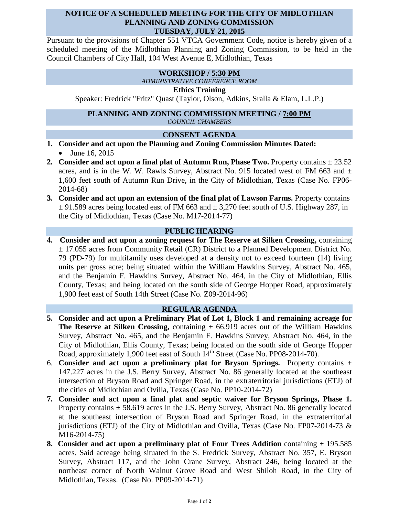### **NOTICE OF A SCHEDULED MEETING FOR THE CITY OF MIDLOTHIAN PLANNING AND ZONING COMMISSION TUESDAY, JULY 21, 2015**

Pursuant to the provisions of Chapter 551 VTCA Government Code, notice is hereby given of a scheduled meeting of the Midlothian Planning and Zoning Commission, to be held in the Council Chambers of City Hall, 104 West Avenue E, Midlothian, Texas

# **WORKSHOP / 5:30 PM**

*ADMINISTRATIVE CONFERENCE ROOM*

#### **Ethics Training**

Speaker: Fredrick "Fritz" Quast (Taylor, Olson, Adkins, Sralla & Elam, L.L.P.)

#### **PLANNING AND ZONING COMMISSION MEETING / 7:00 PM** *COUNCIL CHAMBERS*

#### **CONSENT AGENDA**

- **1. Consider and act upon the Planning and Zoning Commission Minutes Dated:**  • June 16, 2015
- **2. Consider and act upon a final plat of Autumn Run, Phase Two.** Property contains  $\pm 23.52$ acres, and is in the W. W. Rawls Survey, Abstract No. 915 located west of FM 663 and  $\pm$ 1,600 feet south of Autumn Run Drive, in the City of Midlothian, Texas (Case No. FP06- 2014-68)
- **3. Consider and act upon an extension of the final plat of Lawson Farms.** Property contains  $\pm$  91.589 acres being located east of FM 663 and  $\pm$  3,270 feet south of U.S. Highway 287, in the City of Midlothian, Texas (Case No. M17-2014-77)

## **PUBLIC HEARING**

**4. Consider and act upon a zoning request for The Reserve at Silken Crossing,** containing ± 17.055 acres from Community Retail (CR) District to a Planned Development District No. 79 (PD-79) for multifamily uses developed at a density not to exceed fourteen (14) living units per gross acre; being situated within the William Hawkins Survey, Abstract No. 465, and the Benjamin F. Hawkins Survey, Abstract No. 464, in the City of Midlothian, Ellis County, Texas; and being located on the south side of George Hopper Road, approximately 1,900 feet east of South 14th Street (Case No. Z09-2014-96)

#### **REGULAR AGENDA**

- **5. Consider and act upon a Preliminary Plat of Lot 1, Block 1 and remaining acreage for The Reserve at Silken Crossing,** containing  $\pm$  66.919 acres out of the William Hawkins Survey, Abstract No. 465, and the Benjamin F. Hawkins Survey, Abstract No. 464, in the City of Midlothian, Ellis County, Texas; being located on the south side of George Hopper Road, approximately 1,900 feet east of South 14<sup>th</sup> Street (Case No. PP08-2014-70).
- 6. **Consider and act upon a preliminary plat for Bryson Springs.** Property contains ± 147.227 acres in the J.S. Berry Survey, Abstract No. 86 generally located at the southeast intersection of Bryson Road and Springer Road, in the extraterritorial jurisdictions (ETJ) of the cities of Midlothian and Ovilla, Texas (Case No. PP10-2014-72)
- **7. Consider and act upon a final plat and septic waiver for Bryson Springs, Phase 1.**  Property contains  $\pm$  58.619 acres in the J.S. Berry Survey, Abstract No. 86 generally located at the southeast intersection of Bryson Road and Springer Road, in the extraterritorial jurisdictions (ETJ) of the City of Midlothian and Ovilla, Texas (Case No. FP07-2014-73  $\&$ M16-2014-75)
- **8. Consider and act upon a preliminary plat of Four Trees Addition containing**  $\pm$  **195.585** acres. Said acreage being situated in the S. Fredrick Survey, Abstract No. 357, E. Bryson Survey, Abstract 117, and the John Crane Survey, Abstract 246, being located at the northeast corner of North Walnut Grove Road and West Shiloh Road, in the City of Midlothian, Texas.(Case No. PP09-2014-71)